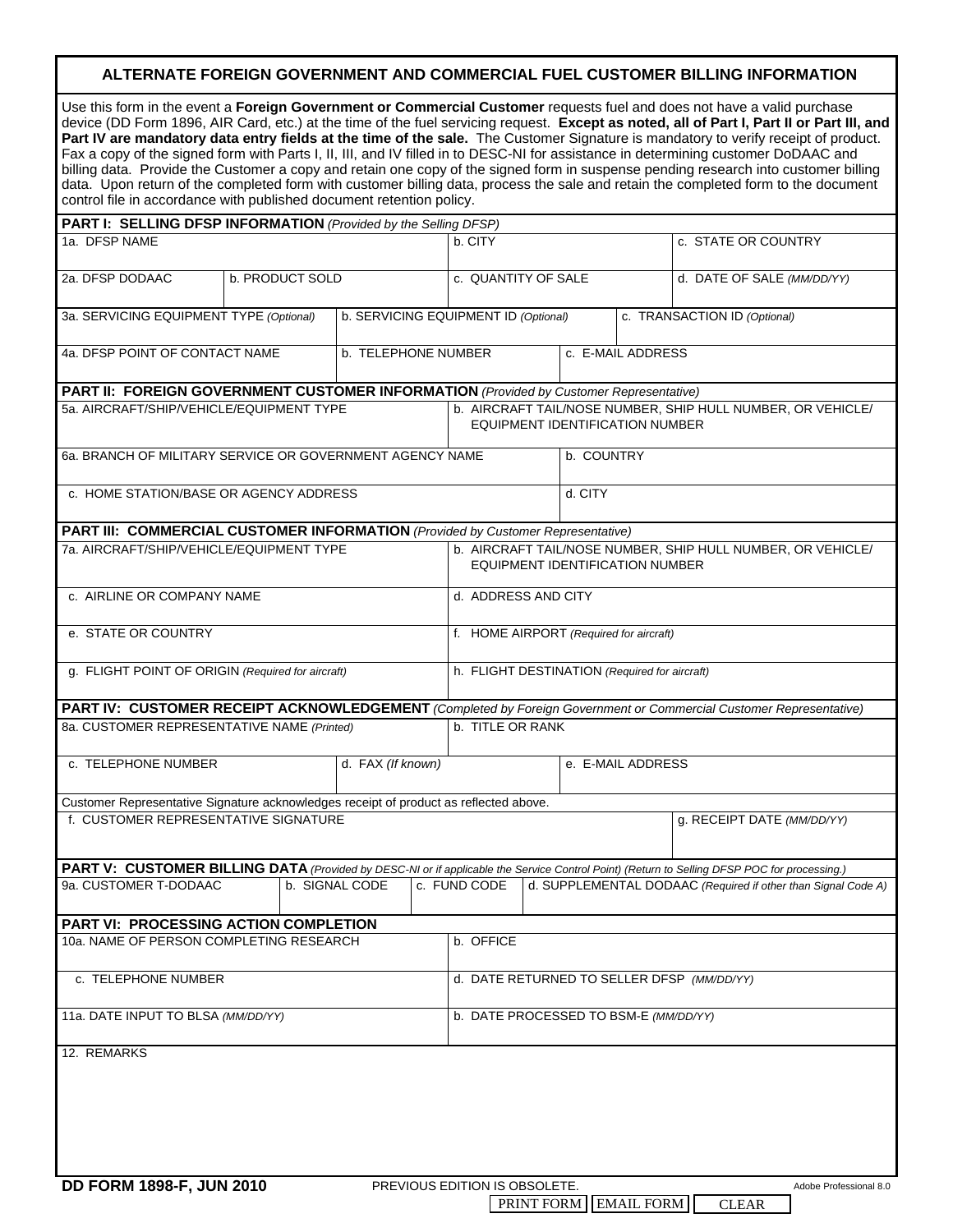## **ALTERNATE FOREIGN GOVERNMENT AND COMMERCIAL FUEL CUSTOMER BILLING INFORMATION**

| control file in accordance with published document retention policy.                  |                                         |                                                                                        |  |                                            |                                                                                                |                                                               |                   |  | Use this form in the event a Foreign Government or Commercial Customer requests fuel and does not have a valid purchase<br>device (DD Form 1896, AIR Card, etc.) at the time of the fuel servicing request. Except as noted, all of Part I, Part II or Part III, and<br>Part IV are mandatory data entry fields at the time of the sale. The Customer Signature is mandatory to verify receipt of product.<br>Fax a copy of the signed form with Parts I, II, III, and IV filled in to DESC-NI for assistance in determining customer DoDAAC and<br>billing data. Provide the Customer a copy and retain one copy of the signed form in suspense pending research into customer billing<br>data. Upon return of the completed form with customer billing data, process the sale and retain the completed form to the document |  |
|---------------------------------------------------------------------------------------|-----------------------------------------|----------------------------------------------------------------------------------------|--|--------------------------------------------|------------------------------------------------------------------------------------------------|---------------------------------------------------------------|-------------------|--|-------------------------------------------------------------------------------------------------------------------------------------------------------------------------------------------------------------------------------------------------------------------------------------------------------------------------------------------------------------------------------------------------------------------------------------------------------------------------------------------------------------------------------------------------------------------------------------------------------------------------------------------------------------------------------------------------------------------------------------------------------------------------------------------------------------------------------|--|
| PART I: SELLING DFSP INFORMATION (Provided by the Selling DFSP)                       |                                         |                                                                                        |  |                                            |                                                                                                |                                                               |                   |  |                                                                                                                                                                                                                                                                                                                                                                                                                                                                                                                                                                                                                                                                                                                                                                                                                               |  |
| 1a. DFSP NAME                                                                         |                                         |                                                                                        |  |                                            | b. CITY                                                                                        |                                                               |                   |  | c. STATE OR COUNTRY                                                                                                                                                                                                                                                                                                                                                                                                                                                                                                                                                                                                                                                                                                                                                                                                           |  |
| 2a. DFSP DODAAC                                                                       | b. PRODUCT SOLD                         |                                                                                        |  |                                            | c. QUANTITY OF SALE                                                                            |                                                               |                   |  | d. DATE OF SALE (MM/DD/YY)                                                                                                                                                                                                                                                                                                                                                                                                                                                                                                                                                                                                                                                                                                                                                                                                    |  |
|                                                                                       | 3a. SERVICING EQUIPMENT TYPE (Optional) |                                                                                        |  |                                            |                                                                                                | b. SERVICING EQUIPMENT ID (Optional)                          |                   |  | c. TRANSACTION ID (Optional)                                                                                                                                                                                                                                                                                                                                                                                                                                                                                                                                                                                                                                                                                                                                                                                                  |  |
| 4a. DFSP POINT OF CONTACT NAME                                                        |                                         |                                                                                        |  | b. TELEPHONE NUMBER                        |                                                                                                |                                                               | c. E-MAIL ADDRESS |  |                                                                                                                                                                                                                                                                                                                                                                                                                                                                                                                                                                                                                                                                                                                                                                                                                               |  |
|                                                                                       |                                         | PART II: FOREIGN GOVERNMENT CUSTOMER INFORMATION (Provided by Customer Representative) |  |                                            |                                                                                                |                                                               |                   |  |                                                                                                                                                                                                                                                                                                                                                                                                                                                                                                                                                                                                                                                                                                                                                                                                                               |  |
| 5a. AIRCRAFT/SHIP/VEHICLE/EQUIPMENT TYPE                                              |                                         |                                                                                        |  |                                            | b. AIRCRAFT TAIL/NOSE NUMBER, SHIP HULL NUMBER, OR VEHICLE/<br>EQUIPMENT IDENTIFICATION NUMBER |                                                               |                   |  |                                                                                                                                                                                                                                                                                                                                                                                                                                                                                                                                                                                                                                                                                                                                                                                                                               |  |
| 6a. BRANCH OF MILITARY SERVICE OR GOVERNMENT AGENCY NAME                              |                                         |                                                                                        |  |                                            |                                                                                                |                                                               | b. COUNTRY        |  |                                                                                                                                                                                                                                                                                                                                                                                                                                                                                                                                                                                                                                                                                                                                                                                                                               |  |
| c. HOME STATION/BASE OR AGENCY ADDRESS                                                |                                         |                                                                                        |  |                                            |                                                                                                |                                                               | d. CITY           |  |                                                                                                                                                                                                                                                                                                                                                                                                                                                                                                                                                                                                                                                                                                                                                                                                                               |  |
| PART III: COMMERCIAL CUSTOMER INFORMATION (Provided by Customer Representative)       |                                         |                                                                                        |  |                                            |                                                                                                |                                                               |                   |  |                                                                                                                                                                                                                                                                                                                                                                                                                                                                                                                                                                                                                                                                                                                                                                                                                               |  |
| 7a. AIRCRAFT/SHIP/VEHICLE/EQUIPMENT TYPE                                              |                                         |                                                                                        |  |                                            | b. AIRCRAFT TAIL/NOSE NUMBER, SHIP HULL NUMBER, OR VEHICLE/<br>EQUIPMENT IDENTIFICATION NUMBER |                                                               |                   |  |                                                                                                                                                                                                                                                                                                                                                                                                                                                                                                                                                                                                                                                                                                                                                                                                                               |  |
| c. AIRLINE OR COMPANY NAME                                                            |                                         |                                                                                        |  |                                            | d. ADDRESS AND CITY                                                                            |                                                               |                   |  |                                                                                                                                                                                                                                                                                                                                                                                                                                                                                                                                                                                                                                                                                                                                                                                                                               |  |
| e. STATE OR COUNTRY                                                                   |                                         |                                                                                        |  |                                            | f. HOME AIRPORT (Required for aircraft)                                                        |                                                               |                   |  |                                                                                                                                                                                                                                                                                                                                                                                                                                                                                                                                                                                                                                                                                                                                                                                                                               |  |
| g. FLIGHT POINT OF ORIGIN (Required for aircraft)                                     |                                         |                                                                                        |  |                                            | h. FLIGHT DESTINATION (Required for aircraft)                                                  |                                                               |                   |  |                                                                                                                                                                                                                                                                                                                                                                                                                                                                                                                                                                                                                                                                                                                                                                                                                               |  |
|                                                                                       |                                         |                                                                                        |  |                                            |                                                                                                |                                                               |                   |  | PART IV: CUSTOMER RECEIPT ACKNOWLEDGEMENT (Completed by Foreign Government or Commercial Customer Representative)                                                                                                                                                                                                                                                                                                                                                                                                                                                                                                                                                                                                                                                                                                             |  |
| 8a. CUSTOMER REPRESENTATIVE NAME (Printed)                                            |                                         |                                                                                        |  |                                            | b. TITLE OR RANK                                                                               |                                                               |                   |  |                                                                                                                                                                                                                                                                                                                                                                                                                                                                                                                                                                                                                                                                                                                                                                                                                               |  |
| c. TELEPHONE NUMBER                                                                   | d. FAX (If known)                       |                                                                                        |  |                                            |                                                                                                | e. E-MAIL ADDRESS                                             |                   |  |                                                                                                                                                                                                                                                                                                                                                                                                                                                                                                                                                                                                                                                                                                                                                                                                                               |  |
| Customer Representative Signature acknowledges receipt of product as reflected above. |                                         |                                                                                        |  |                                            |                                                                                                |                                                               |                   |  |                                                                                                                                                                                                                                                                                                                                                                                                                                                                                                                                                                                                                                                                                                                                                                                                                               |  |
| f. CUSTOMER REPRESENTATIVE SIGNATURE                                                  |                                         |                                                                                        |  |                                            |                                                                                                |                                                               |                   |  | g. RECEIPT DATE (MM/DD/YY)                                                                                                                                                                                                                                                                                                                                                                                                                                                                                                                                                                                                                                                                                                                                                                                                    |  |
|                                                                                       |                                         |                                                                                        |  |                                            |                                                                                                |                                                               |                   |  | PART V: CUSTOMER BILLING DATA (Provided by DESC-NI or if applicable the Service Control Point) (Return to Selling DFSP POC for processing.)                                                                                                                                                                                                                                                                                                                                                                                                                                                                                                                                                                                                                                                                                   |  |
| 9a. CUSTOMER T-DODAAC                                                                 |                                         | b. SIGNAL CODE                                                                         |  |                                            | c. FUND CODE                                                                                   | d. SUPPLEMENTAL DODAAC (Required if other than Signal Code A) |                   |  |                                                                                                                                                                                                                                                                                                                                                                                                                                                                                                                                                                                                                                                                                                                                                                                                                               |  |
| PART VI: PROCESSING ACTION COMPLETION                                                 |                                         |                                                                                        |  |                                            |                                                                                                |                                                               |                   |  |                                                                                                                                                                                                                                                                                                                                                                                                                                                                                                                                                                                                                                                                                                                                                                                                                               |  |
| 10a. NAME OF PERSON COMPLETING RESEARCH                                               |                                         |                                                                                        |  |                                            | b. OFFICE                                                                                      |                                                               |                   |  |                                                                                                                                                                                                                                                                                                                                                                                                                                                                                                                                                                                                                                                                                                                                                                                                                               |  |
| c. TELEPHONE NUMBER                                                                   |                                         |                                                                                        |  | d. DATE RETURNED TO SELLER DFSP (MM/DD/YY) |                                                                                                |                                                               |                   |  |                                                                                                                                                                                                                                                                                                                                                                                                                                                                                                                                                                                                                                                                                                                                                                                                                               |  |
| 11a. DATE INPUT TO BLSA (MM/DD/YY)                                                    |                                         |                                                                                        |  |                                            | b. DATE PROCESSED TO BSM-E (MM/DD/YY)                                                          |                                                               |                   |  |                                                                                                                                                                                                                                                                                                                                                                                                                                                                                                                                                                                                                                                                                                                                                                                                                               |  |
| 12. REMARKS<br>DD FORM 1808-F IIIN 2010                                               |                                         |                                                                                        |  |                                            | PREVIOUS EDITION IS ORSOLETE                                                                   |                                                               |                   |  | Adobe Professional 8 N                                                                                                                                                                                                                                                                                                                                                                                                                                                                                                                                                                                                                                                                                                                                                                                                        |  |